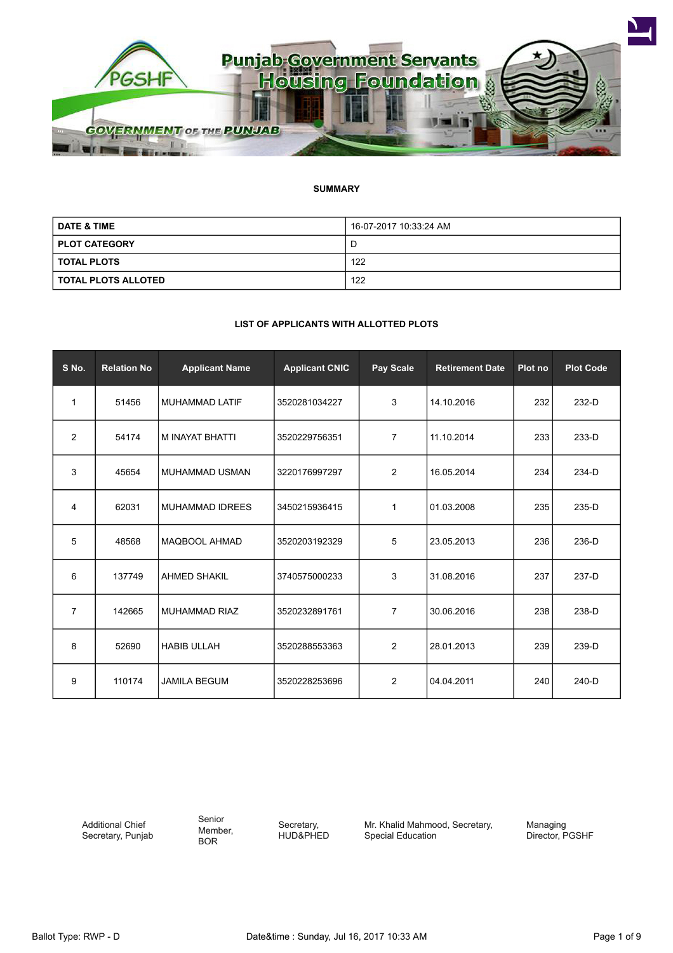

# **SUMMARY**

| <b>DATE &amp; TIME</b> | 16-07-2017 10:33:24 AM |
|------------------------|------------------------|
| <b>PLOT CATEGORY</b>   | ш                      |
| <b>TOTAL PLOTS</b>     | 122                    |
| TOTAL PLOTS ALLOTED    | 122                    |

# **LIST OF APPLICANTS WITH ALLOTTED PLOTS**

| S No.          | <b>Relation No</b> | <b>Applicant Name</b>  | <b>Applicant CNIC</b> | Pay Scale      | <b>Retirement Date</b> | Plot no | <b>Plot Code</b> |
|----------------|--------------------|------------------------|-----------------------|----------------|------------------------|---------|------------------|
| 1              | 51456              | <b>MUHAMMAD LATIF</b>  | 3520281034227         | 3              | 14.10.2016             | 232     | 232-D            |
| $\overline{2}$ | 54174              | M INAYAT BHATTI        | 3520229756351         | $\overline{7}$ | 11.10.2014             | 233     | 233-D            |
| 3              | 45654              | <b>MUHAMMAD USMAN</b>  | 3220176997297         | $\overline{2}$ | 16.05.2014             | 234     | 234-D            |
| 4              | 62031              | <b>MUHAMMAD IDREES</b> | 3450215936415         | $\mathbf{1}$   | 01.03.2008             | 235     | 235-D            |
| 5              | 48568              | <b>MAQBOOL AHMAD</b>   | 3520203192329         | 5              | 23.05.2013             | 236     | 236-D            |
| 6              | 137749             | <b>AHMED SHAKIL</b>    | 3740575000233         | 3              | 31.08.2016             | 237     | 237-D            |
| $\overline{7}$ | 142665             | <b>MUHAMMAD RIAZ</b>   | 3520232891761         | 7              | 30.06.2016             | 238     | 238-D            |
| 8              | 52690              | <b>HABIB ULLAH</b>     | 3520288553363         | $\overline{2}$ | 28.01.2013             | 239     | 239-D            |
| 9              | 110174             | <b>JAMILA BEGUM</b>    | 3520228253696         | 2              | 04.04.2011             | 240     | $240-D$          |

Additional Chief Secretary, Punjab Senior Member, BOR

Secretary, HUD&PHED Mr. Khalid Mahmood, Secretary, Special Education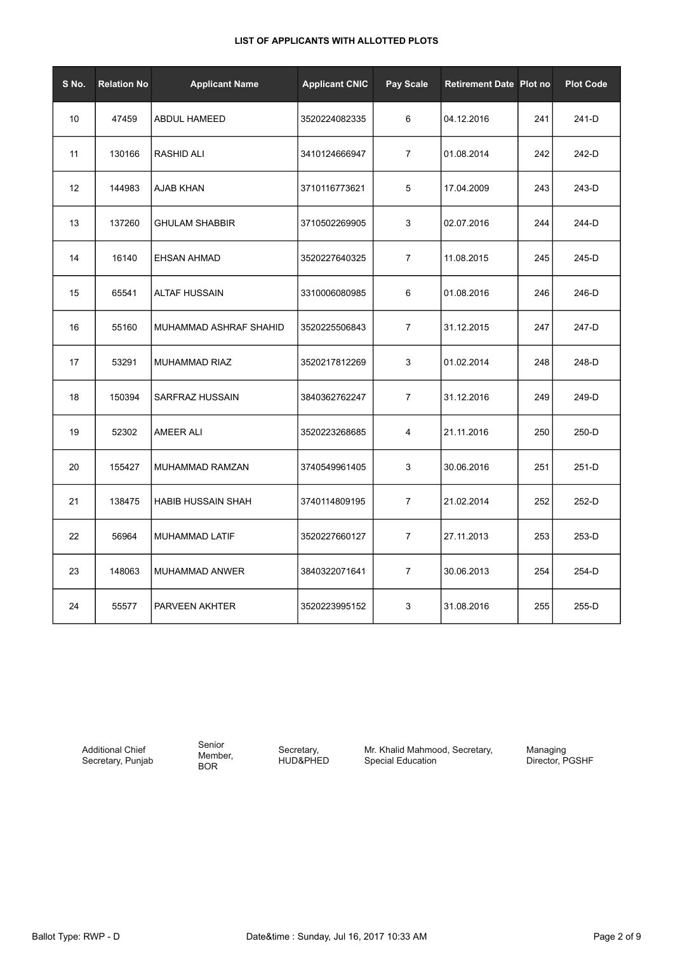| S No. | <b>Relation No</b> | <b>Applicant Name</b>     | <b>Applicant CNIC</b> | Pay Scale      | <b>Retirement Date Plot no</b> |     | <b>Plot Code</b> |
|-------|--------------------|---------------------------|-----------------------|----------------|--------------------------------|-----|------------------|
| 10    | 47459              | ABDUL HAMEED              | 3520224082335         | 6              | 04.12.2016                     | 241 | 241-D            |
| 11    | 130166             | <b>RASHID ALI</b>         | 3410124666947         | 7              | 01.08.2014                     | 242 | 242-D            |
| 12    | 144983             | AJAB KHAN                 | 3710116773621         | 5              | 17.04.2009                     | 243 | 243-D            |
| 13    | 137260             | <b>GHULAM SHABBIR</b>     | 3710502269905         | 3              | 02.07.2016                     | 244 | 244-D            |
| 14    | 16140              | EHSAN AHMAD               | 3520227640325         | $\overline{7}$ | 11.08.2015                     | 245 | 245-D            |
| 15    | 65541              | <b>ALTAF HUSSAIN</b>      | 3310006080985         | 6              | 01.08.2016                     | 246 | 246-D            |
| 16    | 55160              | MUHAMMAD ASHRAF SHAHID    | 3520225506843         | $\overline{7}$ | 31.12.2015                     | 247 | 247-D            |
| 17    | 53291              | MUHAMMAD RIAZ             | 3520217812269         | 3              | 01.02.2014                     | 248 | 248-D            |
| 18    | 150394             | SARFRAZ HUSSAIN           | 3840362762247         | $\overline{7}$ | 31.12.2016                     | 249 | 249-D            |
| 19    | 52302              | AMEER ALI                 | 3520223268685         | 4              | 21.11.2016                     | 250 | 250-D            |
| 20    | 155427             | MUHAMMAD RAMZAN           | 3740549961405         | 3              | 30.06.2016                     | 251 | 251-D            |
| 21    | 138475             | <b>HABIB HUSSAIN SHAH</b> | 3740114809195         | $\overline{7}$ | 21.02.2014                     | 252 | 252-D            |
| 22    | 56964              | MUHAMMAD LATIF            | 3520227660127         | $\overline{7}$ | 27.11.2013                     | 253 | 253-D            |
| 23    | 148063             | MUHAMMAD ANWER            | 3840322071641         | $\overline{7}$ | 30.06.2013                     | 254 | 254-D            |
| 24    | 55577              | PARVEEN AKHTER            | 3520223995152         | 3              | 31.08.2016                     | 255 | 255-D            |

Additional Chief Secretary, Punjab Senior Member, BOR

Secretary, HUD&PHED Mr. Khalid Mahmood, Secretary, Special Education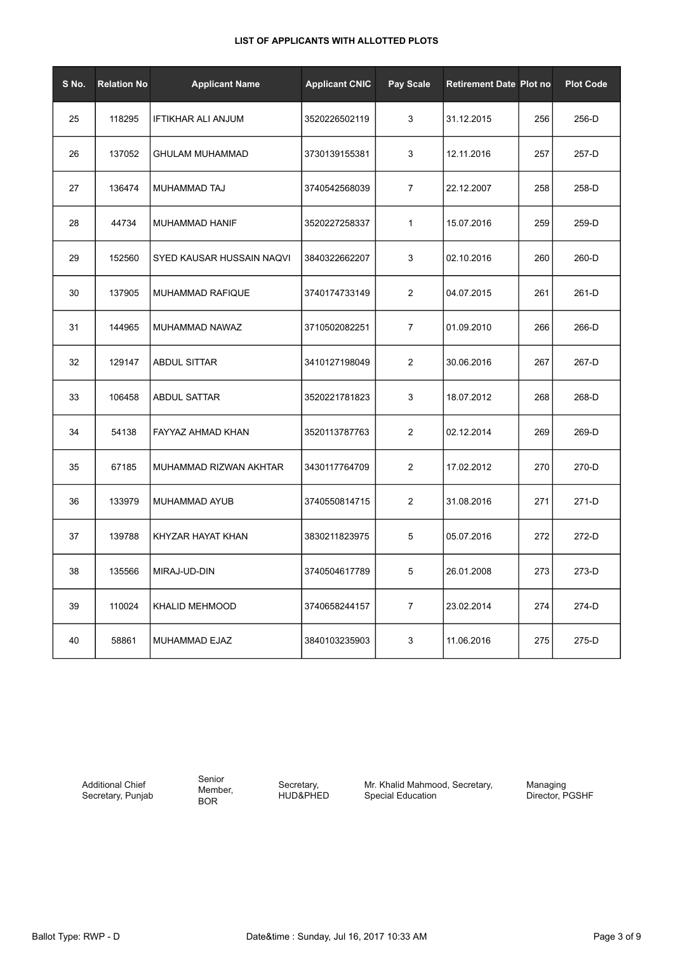| S No. | <b>Relation No</b> | <b>Applicant Name</b>     | <b>Applicant CNIC</b> | <b>Pay Scale</b> | <b>Retirement Date Plot no</b> |     | <b>Plot Code</b> |
|-------|--------------------|---------------------------|-----------------------|------------------|--------------------------------|-----|------------------|
| 25    | 118295             | <b>IFTIKHAR ALI ANJUM</b> | 3520226502119         | 3                | 31.12.2015                     | 256 | 256-D            |
| 26    | 137052             | <b>GHULAM MUHAMMAD</b>    | 3730139155381         | 3                | 12.11.2016                     | 257 | 257-D            |
| 27    | 136474             | MUHAMMAD TAJ              | 3740542568039         | $\overline{7}$   | 22.12.2007                     | 258 | 258-D            |
| 28    | 44734              | MUHAMMAD HANIF            | 3520227258337         | 1                | 15.07.2016                     | 259 | 259-D            |
| 29    | 152560             | SYED KAUSAR HUSSAIN NAQVI | 3840322662207         | 3                | 02.10.2016                     | 260 | 260-D            |
| 30    | 137905             | MUHAMMAD RAFIQUE          | 3740174733149         | 2                | 04.07.2015                     | 261 | 261-D            |
| 31    | 144965             | MUHAMMAD NAWAZ            | 3710502082251         | $\overline{7}$   | 01.09.2010                     | 266 | 266-D            |
| 32    | 129147             | <b>ABDUL SITTAR</b>       | 3410127198049         | 2                | 30.06.2016                     | 267 | 267-D            |
| 33    | 106458             | ABDUL SATTAR              | 3520221781823         | 3                | 18.07.2012                     | 268 | 268-D            |
| 34    | 54138              | FAYYAZ AHMAD KHAN         | 3520113787763         | $\overline{c}$   | 02.12.2014                     | 269 | 269-D            |
| 35    | 67185              | MUHAMMAD RIZWAN AKHTAR    | 3430117764709         | 2                | 17.02.2012                     | 270 | 270-D            |
| 36    | 133979             | MUHAMMAD AYUB             | 3740550814715         | 2                | 31.08.2016                     | 271 | 271-D            |
| 37    | 139788             | KHYZAR HAYAT KHAN         | 3830211823975         | 5                | 05.07.2016                     | 272 | 272-D            |
| 38    | 135566             | MIRAJ-UD-DIN              | 3740504617789         | 5                | 26.01.2008                     | 273 | 273-D            |
| 39    | 110024             | <b>KHALID MEHMOOD</b>     | 3740658244157         | 7                | 23.02.2014                     | 274 | 274-D            |
| 40    | 58861              | MUHAMMAD EJAZ             | 3840103235903         | 3                | 11.06.2016                     | 275 | 275-D            |

Additional Chief Secretary, Punjab Senior Member, BOR

Secretary, HUD&PHED Mr. Khalid Mahmood, Secretary, Special Education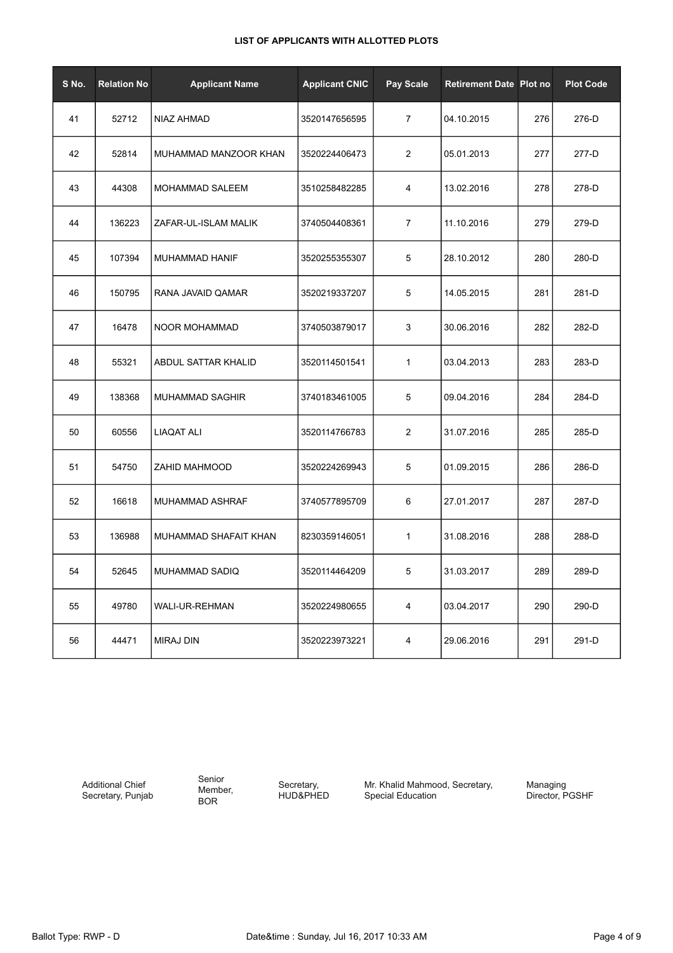| S No. | <b>Relation No</b> | <b>Applicant Name</b> | <b>Applicant CNIC</b> | Pay Scale      | <b>Retirement Date Plot no</b> |     | <b>Plot Code</b> |
|-------|--------------------|-----------------------|-----------------------|----------------|--------------------------------|-----|------------------|
| 41    | 52712              | NIAZ AHMAD            | 3520147656595         | $\overline{7}$ | 04.10.2015                     | 276 | 276-D            |
| 42    | 52814              | MUHAMMAD MANZOOR KHAN | 3520224406473         | 2              | 05.01.2013                     | 277 | 277-D            |
| 43    | 44308              | MOHAMMAD SALEEM       | 3510258482285         | 4              | 13.02.2016                     | 278 | 278-D            |
| 44    | 136223             | ZAFAR-UL-ISLAM MALIK  | 3740504408361         | $\overline{7}$ | 11.10.2016                     | 279 | 279-D            |
| 45    | 107394             | MUHAMMAD HANIF        | 3520255355307         | 5              | 28.10.2012                     | 280 | 280-D            |
| 46    | 150795             | RANA JAVAID QAMAR     | 3520219337207         | 5              | 14.05.2015                     | 281 | 281-D            |
| 47    | 16478              | NOOR MOHAMMAD         | 3740503879017         | 3              | 30.06.2016                     | 282 | 282-D            |
| 48    | 55321              | ABDUL SATTAR KHALID   | 3520114501541         | $\mathbf{1}$   | 03.04.2013                     | 283 | 283-D            |
| 49    | 138368             | MUHAMMAD SAGHIR       | 3740183461005         | 5              | 09.04.2016                     | 284 | 284-D            |
| 50    | 60556              | LIAQAT ALI            | 3520114766783         | $\overline{2}$ | 31.07.2016                     | 285 | 285-D            |
| 51    | 54750              | ZAHID MAHMOOD         | 3520224269943         | 5              | 01.09.2015                     | 286 | 286-D            |
| 52    | 16618              | MUHAMMAD ASHRAF       | 3740577895709         | 6              | 27.01.2017                     | 287 | 287-D            |
| 53    | 136988             | MUHAMMAD SHAFAIT KHAN | 8230359146051         | $\mathbf{1}$   | 31.08.2016                     | 288 | 288-D            |
| 54    | 52645              | MUHAMMAD SADIQ        | 3520114464209         | 5              | 31.03.2017                     | 289 | 289-D            |
| 55    | 49780              | WALI-UR-REHMAN        | 3520224980655         | 4              | 03.04.2017                     | 290 | 290-D            |
| 56    | 44471              | <b>MIRAJ DIN</b>      | 3520223973221         | 4              | 29.06.2016                     | 291 | 291-D            |

Additional Chief Secretary, Punjab Senior Member, BOR

Secretary, HUD&PHED Mr. Khalid Mahmood, Secretary, Special Education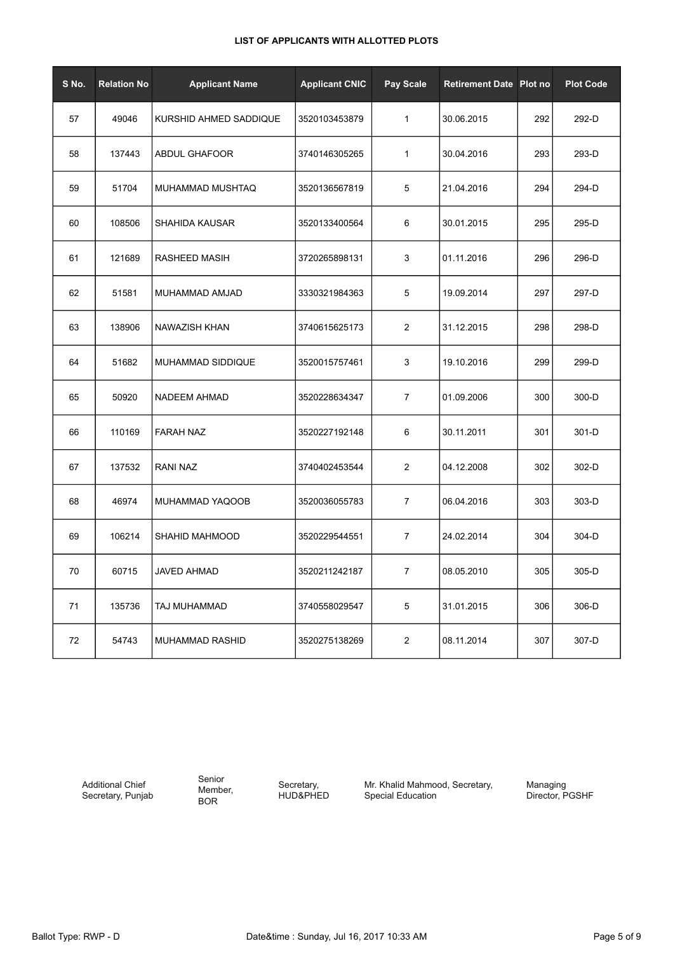| S No. | <b>Relation No</b> | <b>Applicant Name</b>  | <b>Applicant CNIC</b> | Pay Scale      | <b>Retirement Date Plot no</b> |     | <b>Plot Code</b> |
|-------|--------------------|------------------------|-----------------------|----------------|--------------------------------|-----|------------------|
| 57    | 49046              | KURSHID AHMED SADDIQUE | 3520103453879         | $\mathbf{1}$   | 30.06.2015                     | 292 | 292-D            |
| 58    | 137443             | <b>ABDUL GHAFOOR</b>   | 3740146305265         | $\mathbf{1}$   | 30.04.2016                     | 293 | 293-D            |
| 59    | 51704              | MUHAMMAD MUSHTAQ       | 3520136567819         | 5              | 21.04.2016                     | 294 | 294-D            |
| 60    | 108506             | <b>SHAHIDA KAUSAR</b>  | 3520133400564         | 6              | 30.01.2015                     | 295 | 295-D            |
| 61    | 121689             | RASHEED MASIH          | 3720265898131         | 3              | 01.11.2016                     | 296 | 296-D            |
| 62    | 51581              | MUHAMMAD AMJAD         | 3330321984363         | 5              | 19.09.2014                     | 297 | 297-D            |
| 63    | 138906             | NAWAZISH KHAN          | 3740615625173         | 2              | 31.12.2015                     | 298 | 298-D            |
| 64    | 51682              | MUHAMMAD SIDDIQUE      | 3520015757461         | 3              | 19.10.2016                     | 299 | 299-D            |
| 65    | 50920              | NADEEM AHMAD           | 3520228634347         | $\overline{7}$ | 01.09.2006                     | 300 | 300-D            |
| 66    | 110169             | <b>FARAH NAZ</b>       | 3520227192148         | 6              | 30.11.2011                     | 301 | 301-D            |
| 67    | 137532             | RANI NAZ               | 3740402453544         | 2              | 04.12.2008                     | 302 | 302-D            |
| 68    | 46974              | MUHAMMAD YAQOOB        | 3520036055783         | $\overline{7}$ | 06.04.2016                     | 303 | 303-D            |
| 69    | 106214             | SHAHID MAHMOOD         | 3520229544551         | $\overline{7}$ | 24.02.2014                     | 304 | 304-D            |
| 70    | 60715              | <b>JAVED AHMAD</b>     | 3520211242187         | $\overline{7}$ | 08.05.2010                     | 305 | 305-D            |
| 71    | 135736             | TAJ MUHAMMAD           | 3740558029547         | 5              | 31.01.2015                     | 306 | 306-D            |
| 72    | 54743              | MUHAMMAD RASHID        | 3520275138269         | 2              | 08.11.2014                     | 307 | 307-D            |

Additional Chief Secretary, Punjab Senior Member, BOR

Secretary, HUD&PHED Mr. Khalid Mahmood, Secretary, Special Education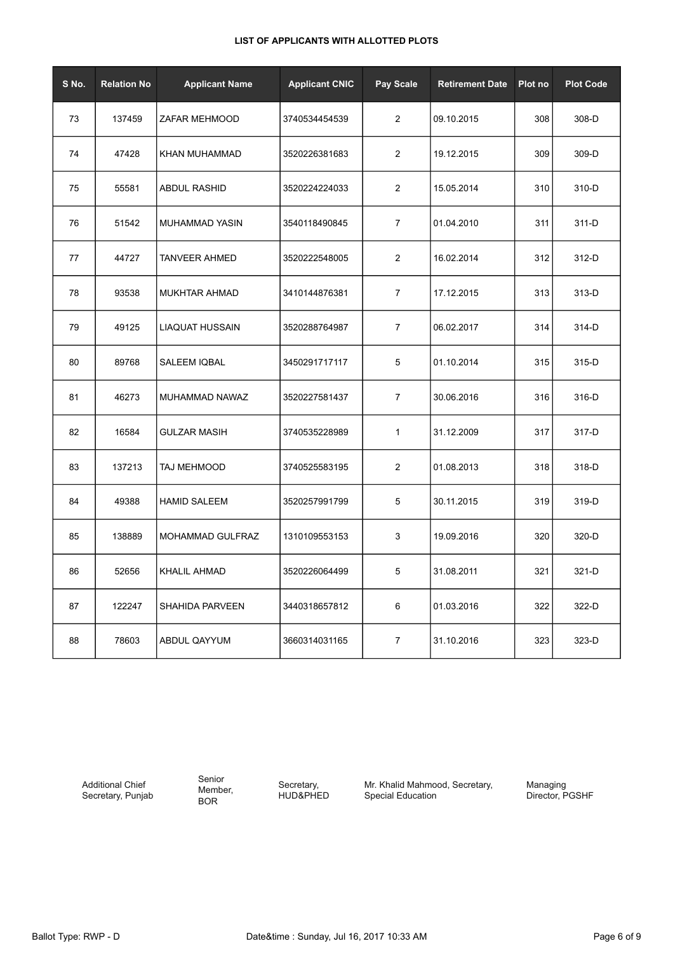| S No. | <b>Relation No</b> | <b>Applicant Name</b>  | <b>Applicant CNIC</b> | Pay Scale      | <b>Retirement Date</b> | Plot no | <b>Plot Code</b> |
|-------|--------------------|------------------------|-----------------------|----------------|------------------------|---------|------------------|
| 73    | 137459             | ZAFAR MEHMOOD          | 3740534454539         | 2              | 09.10.2015             | 308     | 308-D            |
| 74    | 47428              | KHAN MUHAMMAD          | 3520226381683         | $\overline{2}$ | 19.12.2015             | 309     | 309-D            |
| 75    | 55581              | <b>ABDUL RASHID</b>    | 3520224224033         | $\overline{2}$ | 15.05.2014             | 310     | 310-D            |
| 76    | 51542              | MUHAMMAD YASIN         | 3540118490845         | $\overline{7}$ | 01.04.2010             | 311     | 311-D            |
| 77    | 44727              | <b>TANVEER AHMED</b>   | 3520222548005         | $\overline{2}$ | 16.02.2014             | 312     | 312-D            |
| 78    | 93538              | <b>MUKHTAR AHMAD</b>   | 3410144876381         | $\overline{7}$ | 17.12.2015             | 313     | 313-D            |
| 79    | 49125              | <b>LIAQUAT HUSSAIN</b> | 3520288764987         | $\overline{7}$ | 06.02.2017             | 314     | 314-D            |
| 80    | 89768              | SALEEM IQBAL           | 3450291717117         | 5              | 01.10.2014             | 315     | 315-D            |
| 81    | 46273              | MUHAMMAD NAWAZ         | 3520227581437         | $\overline{7}$ | 30.06.2016             | 316     | 316-D            |
| 82    | 16584              | <b>GULZAR MASIH</b>    | 3740535228989         | $\mathbf{1}$   | 31.12.2009             | 317     | 317-D            |
| 83    | 137213             | TAJ MEHMOOD            | 3740525583195         | $\overline{2}$ | 01.08.2013             | 318     | 318-D            |
| 84    | 49388              | <b>HAMID SALEEM</b>    | 3520257991799         | 5              | 30.11.2015             | 319     | 319-D            |
| 85    | 138889             | MOHAMMAD GULFRAZ       | 1310109553153         | 3              | 19.09.2016             | 320     | 320-D            |
| 86    | 52656              | KHALIL AHMAD           | 3520226064499         | 5              | 31.08.2011             | 321     | 321-D            |
| 87    | 122247             | <b>SHAHIDA PARVEEN</b> | 3440318657812         | 6              | 01.03.2016             | 322     | 322-D            |
| 88    | 78603              | ABDUL QAYYUM           | 3660314031165         | $\overline{7}$ | 31.10.2016             | 323     | 323-D            |

Additional Chief Secretary, Punjab Senior Member, BOR

Secretary, HUD&PHED Mr. Khalid Mahmood, Secretary, Special Education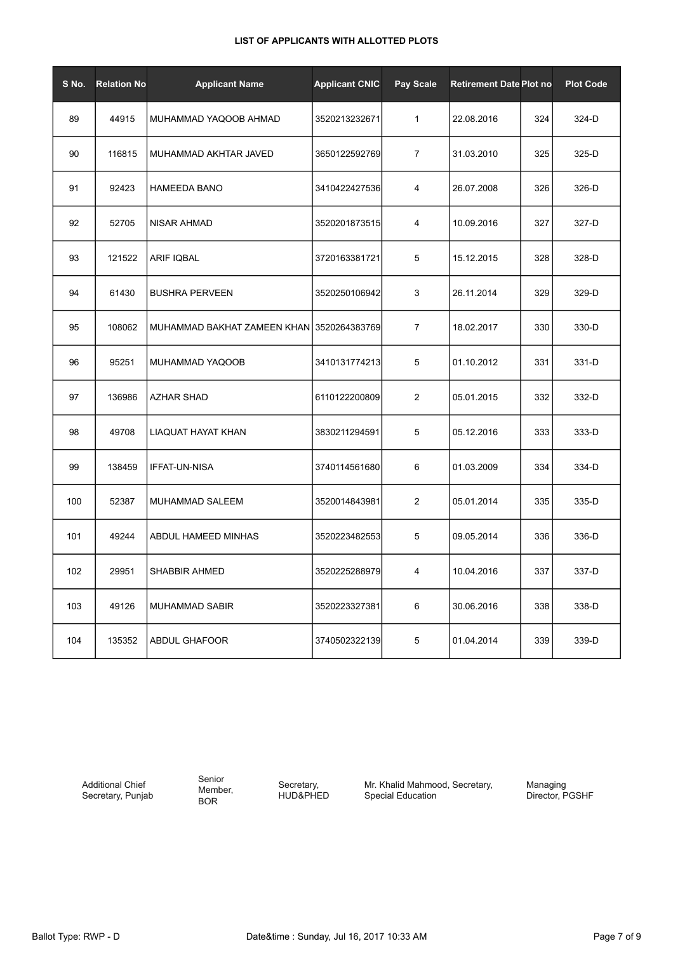| S No. | <b>Relation No</b> | <b>Applicant Name</b>                     | <b>Applicant CNIC</b> | <b>Pay Scale</b> | <b>Retirement Date Plot no</b> |     | <b>Plot Code</b> |
|-------|--------------------|-------------------------------------------|-----------------------|------------------|--------------------------------|-----|------------------|
| 89    | 44915              | MUHAMMAD YAQOOB AHMAD                     | 3520213232671         | $\mathbf{1}$     | 22.08.2016                     | 324 | 324-D            |
| 90    | 116815             | MUHAMMAD AKHTAR JAVED                     | 3650122592769         | $\overline{7}$   | 31.03.2010                     | 325 | 325-D            |
| 91    | 92423              | <b>HAMEEDA BANO</b>                       | 3410422427536         | $\overline{4}$   | 26.07.2008                     | 326 | 326-D            |
| 92    | 52705              | <b>NISAR AHMAD</b>                        | 3520201873515         | 4                | 10.09.2016                     | 327 | 327-D            |
| 93    | 121522             | <b>ARIF IQBAL</b>                         | 3720163381721         | 5                | 15.12.2015                     | 328 | 328-D            |
| 94    | 61430              | <b>BUSHRA PERVEEN</b>                     | 3520250106942         | 3                | 26.11.2014                     | 329 | 329-D            |
| 95    | 108062             | MUHAMMAD BAKHAT ZAMEEN KHAN 3520264383769 |                       | $\overline{7}$   | 18.02.2017                     | 330 | 330-D            |
| 96    | 95251              | MUHAMMAD YAQOOB                           | 3410131774213         | 5                | 01.10.2012                     | 331 | 331-D            |
| 97    | 136986             | AZHAR SHAD                                | 6110122200809         | $\overline{2}$   | 05.01.2015                     | 332 | 332-D            |
| 98    | 49708              | LIAQUAT HAYAT KHAN                        | 3830211294591         | 5                | 05.12.2016                     | 333 | 333-D            |
| 99    | 138459             | <b>IFFAT-UN-NISA</b>                      | 3740114561680         | 6                | 01.03.2009                     | 334 | 334-D            |
| 100   | 52387              | MUHAMMAD SALEEM                           | 3520014843981         | $\overline{2}$   | 05.01.2014                     | 335 | 335-D            |
| 101   | 49244              | ABDUL HAMEED MINHAS                       | 3520223482553         | 5                | 09.05.2014                     | 336 | 336-D            |
| 102   | 29951              | <b>SHABBIR AHMED</b>                      | 3520225288979         | 4                | 10.04.2016                     | 337 | 337-D            |
| 103   | 49126              | MUHAMMAD SABIR                            | 3520223327381         | 6                | 30.06.2016                     | 338 | 338-D            |
| 104   | 135352             | <b>ABDUL GHAFOOR</b>                      | 3740502322139         | 5                | 01.04.2014                     | 339 | 339-D            |

Additional Chief Secretary, Punjab Senior Member, BOR

Secretary, HUD&PHED Mr. Khalid Mahmood, Secretary, Special Education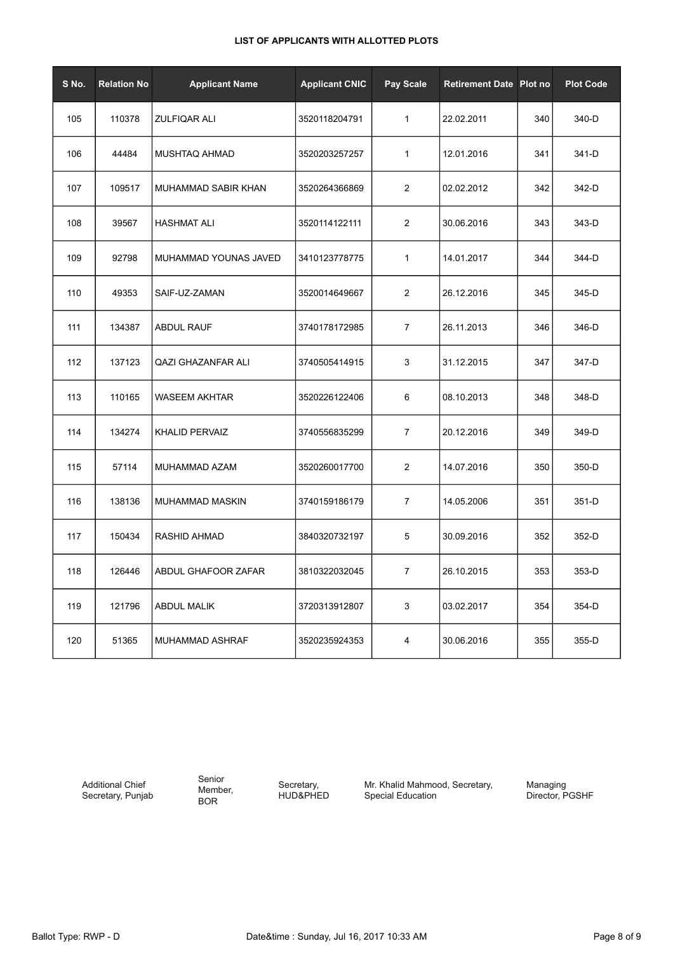| S No. | <b>Relation No</b> | <b>Applicant Name</b> | <b>Applicant CNIC</b> | Pay Scale      | <b>Retirement Date Plot no</b> |     | <b>Plot Code</b> |
|-------|--------------------|-----------------------|-----------------------|----------------|--------------------------------|-----|------------------|
| 105   | 110378             | <b>ZULFIQAR ALI</b>   | 3520118204791         | $\mathbf{1}$   | 22.02.2011                     | 340 | 340-D            |
| 106   | 44484              | MUSHTAQ AHMAD         | 3520203257257         | $\mathbf{1}$   | 12.01.2016                     | 341 | 341-D            |
| 107   | 109517             | MUHAMMAD SABIR KHAN   | 3520264366869         | 2              | 02.02.2012                     | 342 | 342-D            |
| 108   | 39567              | <b>HASHMAT ALI</b>    | 3520114122111         | 2              | 30.06.2016                     | 343 | 343-D            |
| 109   | 92798              | MUHAMMAD YOUNAS JAVED | 3410123778775         | $\mathbf{1}$   | 14.01.2017                     | 344 | 344-D            |
| 110   | 49353              | SAIF-UZ-ZAMAN         | 3520014649667         | $\overline{2}$ | 26.12.2016                     | 345 | 345-D            |
| 111   | 134387             | <b>ABDUL RAUF</b>     | 3740178172985         | $\overline{7}$ | 26.11.2013                     | 346 | 346-D            |
| 112   | 137123             | QAZI GHAZANFAR ALI    | 3740505414915         | 3              | 31.12.2015                     | 347 | 347-D            |
| 113   | 110165             | <b>WASEEM AKHTAR</b>  | 3520226122406         | 6              | 08.10.2013                     | 348 | 348-D            |
| 114   | 134274             | <b>KHALID PERVAIZ</b> | 3740556835299         | $\overline{7}$ | 20.12.2016                     | 349 | 349-D            |
| 115   | 57114              | MUHAMMAD AZAM         | 3520260017700         | 2              | 14.07.2016                     | 350 | 350-D            |
| 116   | 138136             | MUHAMMAD MASKIN       | 3740159186179         | $\overline{7}$ | 14.05.2006                     | 351 | 351-D            |
| 117   | 150434             | RASHID AHMAD          | 3840320732197         | 5              | 30.09.2016                     | 352 | 352-D            |
| 118   | 126446             | ABDUL GHAFOOR ZAFAR   | 3810322032045         | $\overline{7}$ | 26.10.2015                     | 353 | 353-D            |
| 119   | 121796             | <b>ABDUL MALIK</b>    | 3720313912807         | 3              | 03.02.2017                     | 354 | 354-D            |
| 120   | 51365              | MUHAMMAD ASHRAF       | 3520235924353         | 4              | 30.06.2016                     | 355 | 355-D            |

Additional Chief Secretary, Punjab Senior Member, BOR

Secretary, HUD&PHED Mr. Khalid Mahmood, Secretary, Special Education